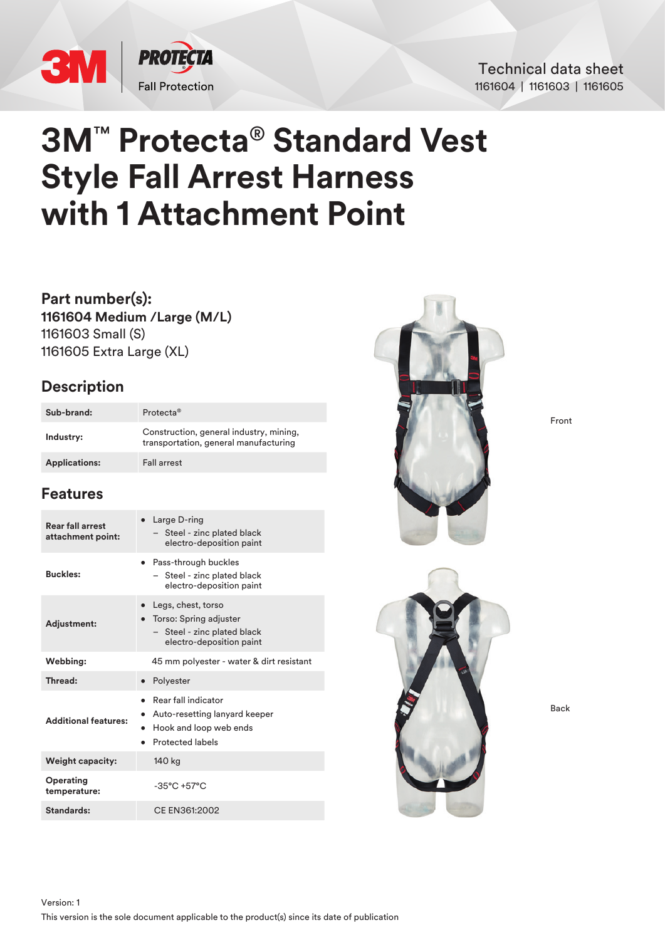

### Technical data sheet 1161604 | 1161603 | 1161605

# **3M**™ **Protecta**® **Standard Vest Style Fall Arrest Harness with 1 Attachment Point**

**Part number(s): 1161604 Medium /Large (M/L)** 1161603 Small (S) 1161605 Extra Large (XL)

## **Description**

| Sub-brand:           | Protecta <sup>®</sup>                                                            |
|----------------------|----------------------------------------------------------------------------------|
| Industry:            | Construction, general industry, mining,<br>transportation, general manufacturing |
| <b>Applications:</b> | <b>Fall arrest</b>                                                               |

# **Features**

| <b>Rear fall arrest</b><br>attachment point: | $\bullet$ Large D-ring<br>- Steel - zinc plated black<br>electro-deposition paint                         |  |
|----------------------------------------------|-----------------------------------------------------------------------------------------------------------|--|
| <b>Buckles:</b>                              | Pass-through buckles<br>Steel - zinc plated black<br>electro-deposition paint                             |  |
| <b>Adjustment:</b>                           | Legs, chest, torso<br>Torso: Spring adjuster<br>- Steel - zinc plated black<br>electro-deposition paint   |  |
| Webbing:                                     | 45 mm polyester - water & dirt resistant                                                                  |  |
| Thread:                                      | • Polyester                                                                                               |  |
| <b>Additional features:</b>                  | Rear fall indicator<br>Auto-resetting lanyard keeper<br>Hook and loop web ends<br><b>Protected labels</b> |  |
| <b>Weight capacity:</b>                      | 140 kg                                                                                                    |  |
| Operating<br>temperature:                    | $-35^{\circ}$ C +57 $^{\circ}$ C                                                                          |  |
| Standards:                                   | CF FN361:2002                                                                                             |  |



Front



Back